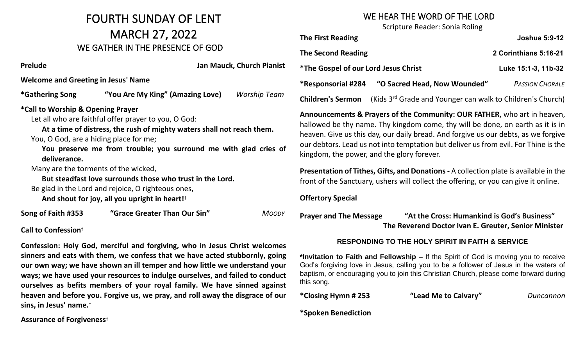### FOURTH SUNDAY OF LENT MARCH 27, 2022 WE GATHER IN THE PRESENCE OF GOD

**Prelude Jan Mauck, Church Pianist**

**Welcome and Greeting in Jesus' Name** 

**\*Gathering Song "You Are My King" (Amazing Love)** *Worship Team*

#### **\*Call to Worship & Opening Prayer**

Let all who are faithful offer prayer to you, O God:

**At a time of distress, the rush of mighty waters shall not reach them.**

You, O God, are a hiding place for me;

**You preserve me from trouble; you surround me with glad cries of deliverance.**

Many are the torments of the wicked,

**But steadfast love surrounds those who trust in the Lord.**

Be glad in the Lord and rejoice, O righteous ones,

**And shout for joy, all you upright in heart!**†

**Song of Faith #353 "Grace Greater Than Our Sin"** *MOODY*

#### **Call to Confession**†

**Confession: Holy God, merciful and forgiving, who in Jesus Christ welcomes sinners and eats with them, we confess that we have acted stubbornly, going our own way; we have shown an ill temper and how little we understand your ways; we have used your resources to indulge ourselves, and failed to conduct ourselves as befits members of your royal family. We have sinned against heaven and before you. Forgive us, we pray, and roll away the disgrace of our sins, in Jesus' name.**†

**Assurance of Forgiveness**†

#### WE HEAR THE WORD OF THE LORD

Scripture Reader: Sonia Roling

| <b>The First Reading</b>                    |                                                                        | <b>Joshua 5:9-12</b>   |
|---------------------------------------------|------------------------------------------------------------------------|------------------------|
| <b>The Second Reading</b>                   |                                                                        | 2 Corinthians 5:16-21  |
| <i>*The Gospel of our Lord Jesus Christ</i> |                                                                        | Luke 15:1-3, 11b-32    |
| *Responsorial #284                          | "O Sacred Head, Now Wounded"                                           | <b>PASSION CHORALE</b> |
| <b>Children's Sermon</b>                    | (Kids 3 <sup>rd</sup> Grade and Younger can walk to Children's Church) |                        |

**Announcements & Prayers of the Community: OUR FATHER,** who art in heaven, hallowed be thy name. Thy kingdom come, thy will be done, on earth as it is in heaven. Give us this day, our daily bread. And forgive us our debts, as we forgive our debtors. Lead us not into temptation but deliver us from evil. For Thine is the kingdom, the power, and the glory forever.

**Presentation of Tithes, Gifts, and Donations -** A collection plate is available in the front of the Sanctuary, ushers will collect the offering, or you can give it online.

**Offertory Special** 

**Prayer and The Message "At the Cross: Humankind is God's Business" The Reverend Doctor Ivan E. Greuter, Senior Minister** 

#### **RESPONDING TO THE HOLY SPIRIT IN FAITH & SERVICE**

**\*Invitation to Faith and Fellowship –** If the Spirit of God is moving you to receive God's forgiving love in Jesus, calling you to be a follower of Jesus in the waters of baptism, or encouraging you to join this Christian Church, please come forward during this song.

**\*Closing Hymn # 253 "Lead Me to Calvary"** *Duncannon*

**\*Spoken Benediction**